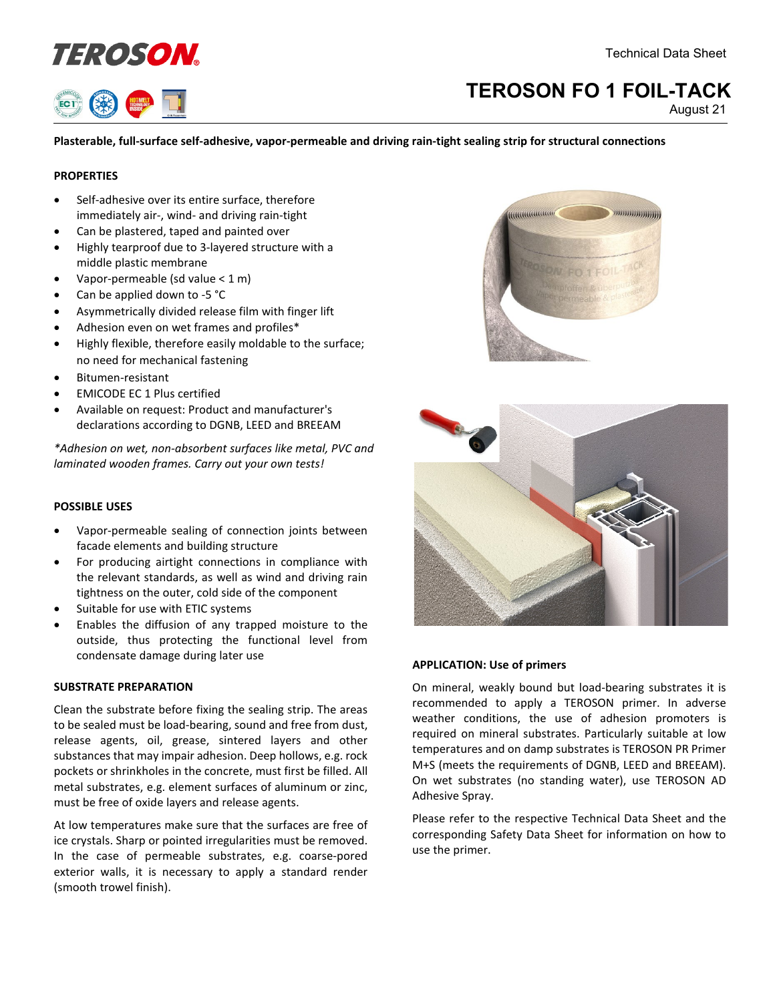



# **TEROSON FO 1 FOIL-TACK**

August 21

# **Plasterable, full-surface self-adhesive, vapor-permeable and driving rain-tight sealing strip for structural connections**

# **PROPERTIES**

- Self-adhesive over its entire surface, therefore immediately air-, wind- and driving rain-tight
- Can be plastered, taped and painted over
- Highly tearproof due to 3-layered structure with a middle plastic membrane
- Vapor-permeable (sd value  $<$  1 m)
- Can be applied down to -5 °C
- Asymmetrically divided release film with finger lift
- Adhesion even on wet frames and profiles\*
- Highly flexible, therefore easily moldable to the surface; no need for mechanical fastening
- Bitumen-resistant
- EMICODE EC 1 Plus certified
- Available on request: Product and manufacturer's declarations according to DGNB, LEED and BREEAM

*\*Adhesion on wet, non-absorbent surfaces like metal, PVC and laminated wooden frames. Carry out your own tests!*

# **POSSIBLE USES**

- Vapor-permeable sealing of connection joints between facade elements and building structure
- For producing airtight connections in compliance with the relevant standards, as well as wind and driving rain tightness on the outer, cold side of the component
- Suitable for use with ETIC systems
- Enables the diffusion of any trapped moisture to the outside, thus protecting the functional level from condensate damage during later use

# **SUBSTRATE PREPARATION**

Clean the substrate before fixing the sealing strip. The areas to be sealed must be load-bearing, sound and free from dust, release agents, oil, grease, sintered layers and other substances that may impair adhesion. Deep hollows, e.g. rock pockets or shrinkholes in the concrete, must first be filled. All metal substrates, e.g. element surfaces of aluminum or zinc, must be free of oxide layers and release agents.

At low temperatures make sure that the surfaces are free of ice crystals. Sharp or pointed irregularities must be removed. In the case of permeable substrates, e.g. coarse-pored exterior walls, it is necessary to apply a standard render (smooth trowel finish).





# **APPLICATION: Use of primers**

On mineral, weakly bound but load-bearing substrates it is recommended to apply a TEROSON primer. In adverse weather conditions, the use of adhesion promoters is required on mineral substrates. Particularly suitable at low temperatures and on damp substrates is TEROSON PR Primer M+S (meets the requirements of DGNB, LEED and BREEAM). On wet substrates (no standing water), use TEROSON AD Adhesive Spray.

Please refer to the respective Technical Data Sheet and the corresponding Safety Data Sheet for information on how to use the primer.